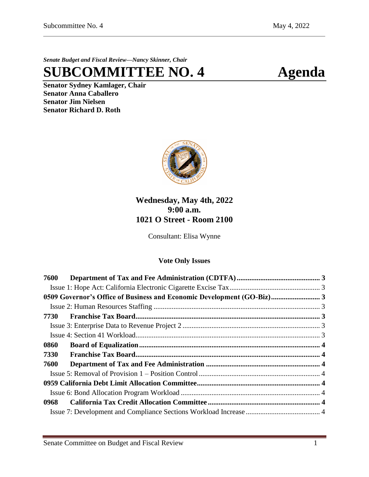*Senate Budget and Fiscal Review—Nancy Skinner, Chair*

# **SUBCOMMITTEE NO. 4 Agenda**

**Senator Sydney Kamlager, Chair Senator Anna Caballero Senator Jim Nielsen Senator Richard D. Roth** 



## **Wednesday, May 4th, 2022 9:00 a.m. 1021 O Street - Room 2100**

Consultant: Elisa Wynne

## **Vote Only Issues**

| 7600                                                                   |  |
|------------------------------------------------------------------------|--|
|                                                                        |  |
| 0509 Governor's Office of Business and Economic Development (GO-Biz) 3 |  |
|                                                                        |  |
|                                                                        |  |
|                                                                        |  |
|                                                                        |  |
| 0860                                                                   |  |
| 7330                                                                   |  |
| 7600                                                                   |  |
|                                                                        |  |
|                                                                        |  |
|                                                                        |  |
|                                                                        |  |
|                                                                        |  |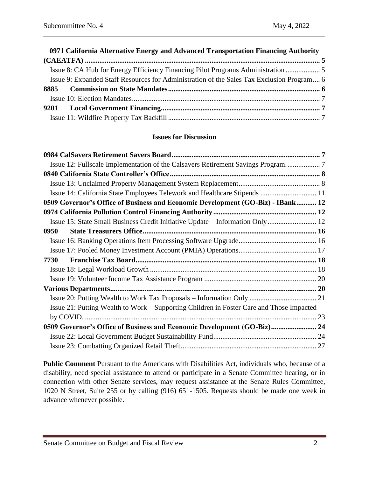| 0971 California Alternative Energy and Advanced Transportation Financing Authority        |  |
|-------------------------------------------------------------------------------------------|--|
|                                                                                           |  |
| Issue 8: CA Hub for Energy Efficiency Financing Pilot Programs Administration             |  |
| Issue 9: Expanded Staff Resources for Administration of the Sales Tax Exclusion Program 6 |  |
|                                                                                           |  |
|                                                                                           |  |
|                                                                                           |  |
|                                                                                           |  |

## **Issues for Discussion**

| Issue 14: California State Employees Telework and Healthcare Stipends  11                |  |
|------------------------------------------------------------------------------------------|--|
| 0509 Governor's Office of Business and Economic Development (GO-Biz) - IBank 12          |  |
|                                                                                          |  |
|                                                                                          |  |
| 0950                                                                                     |  |
|                                                                                          |  |
|                                                                                          |  |
|                                                                                          |  |
|                                                                                          |  |
|                                                                                          |  |
|                                                                                          |  |
|                                                                                          |  |
| Issue 21: Putting Wealth to Work – Supporting Children in Foster Care and Those Impacted |  |
|                                                                                          |  |
| 0509 Governor's Office of Business and Economic Development (GO-Biz) 24                  |  |
|                                                                                          |  |
|                                                                                          |  |

**Public Comment** Pursuant to the Americans with Disabilities Act, individuals who, because of a disability, need special assistance to attend or participate in a Senate Committee hearing, or in connection with other Senate services, may request assistance at the Senate Rules Committee, 1020 N Street, Suite 255 or by calling (916) 651-1505. Requests should be made one week in advance whenever possible.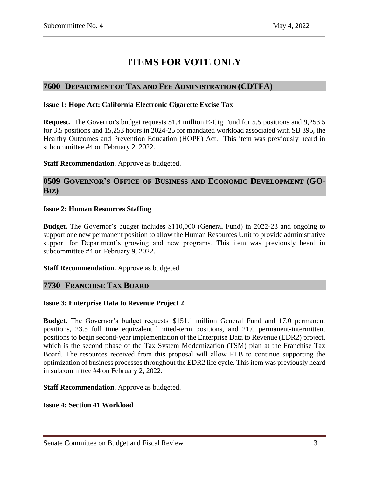## **ITEMS FOR VOTE ONLY**

## <span id="page-2-0"></span>**7600 DEPARTMENT OF TAX AND FEE ADMINISTRATION (CDTFA)**

#### <span id="page-2-1"></span>**Issue 1: Hope Act: California Electronic Cigarette Excise Tax**

**Request.** The Governor's budget requests \$1.4 million E-Cig Fund for 5.5 positions and 9,253.5 for 3.5 positions and 15,253 hours in 2024-25 for mandated workload associated with SB 395, the Healthy Outcomes and Prevention Education (HOPE) Act. This item was previously heard in subcommittee #4 on February 2, 2022.

**Staff Recommendation.** Approve as budgeted.

## <span id="page-2-2"></span>**0509 GOVERNOR'S OFFICE OF BUSINESS AND ECONOMIC DEVELOPMENT (GO-BIZ)**

## <span id="page-2-3"></span>**Issue 2: Human Resources Staffing**

**Budget.** The Governor's budget includes \$110,000 (General Fund) in 2022-23 and ongoing to support one new permanent position to allow the Human Resources Unit to provide administrative support for Department's growing and new programs. This item was previously heard in subcommittee #4 on February 9, 2022.

**Staff Recommendation.** Approve as budgeted.

## <span id="page-2-4"></span>**7730 FRANCHISE TAX BOARD**

#### <span id="page-2-5"></span>**Issue 3: Enterprise Data to Revenue Project 2**

**Budget.** The Governor's budget requests \$151.1 million General Fund and 17.0 permanent positions, 23.5 full time equivalent limited-term positions, and 21.0 permanent-intermittent positions to begin second-year implementation of the Enterprise Data to Revenue (EDR2) project, which is the second phase of the Tax System Modernization (TSM) plan at the Franchise Tax Board. The resources received from this proposal will allow FTB to continue supporting the optimization of business processes throughout the EDR2 life cycle. This item was previously heard in subcommittee #4 on February 2, 2022.

**Staff Recommendation.** Approve as budgeted.

<span id="page-2-6"></span>**Issue 4: Section 41 Workload**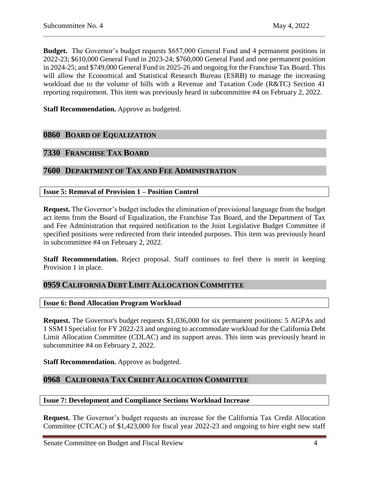**Budget.** The Governor's budget requests \$657,000 General Fund and 4 permanent positions in 2022-23; \$610,000 General Fund in 2023-24; \$760,000 General Fund and one permanent position in 2024-25; and \$749,000 General Fund in 2025-26 and ongoing for the Franchise Tax Board. This will allow the Economical and Statistical Research Bureau (ESRB) to manage the increasing workload due to the volume of bills with a Revenue and Taxation Code (R&TC) Section 41 reporting requirement. This item was previously heard in subcommittee #4 on February 2, 2022.

**Staff Recommendation.** Approve as budgeted.

## <span id="page-3-0"></span>**0860 BOARD OF EQUALIZATION**

## <span id="page-3-1"></span>**7330 FRANCHISE TAX BOARD**

## <span id="page-3-2"></span>**7600 DEPARTMENT OF TAX AND FEE ADMINISTRATION**

#### <span id="page-3-3"></span>**Issue 5: Removal of Provision 1 – Position Control**

**Request.** The Governor's budget includes the elimination of provisional language from the budget act items from the Board of Equalization, the Franchise Tax Board, and the Department of Tax and Fee Administration that required notification to the Joint Legislative Budget Committee if specified positions were redirected from their intended purposes. This item was previously heard in subcommittee #4 on February 2, 2022.

**Staff Recommendation.** Reject proposal. Staff continues to feel there is merit in keeping Provision 1 in place.

## <span id="page-3-4"></span>**0959 CALIFORNIA DEBT LIMIT ALLOCATION COMMITTEE**

#### <span id="page-3-5"></span>**Issue 6: Bond Allocation Program Workload**

**Request.** The Governor's budget requests \$1,036,000 for six permanent positions: 5 AGPAs and 1 SSM I Specialist for FY 2022-23 and ongoing to accommodate workload for the California Debt Limit Allocation Committee (CDLAC) and its support areas. This item was previously heard in subcommittee #4 on February 2, 2022.

**Staff Recommendation.** Approve as budgeted.

## <span id="page-3-6"></span>**0968 CALIFORNIA TAX CREDIT ALLOCATION COMMITTEE**

#### <span id="page-3-7"></span>**Issue 7: Development and Compliance Sections Workload Increase**

**Request.** The Governor's budget requests an increase for the California Tax Credit Allocation Committee (CTCAC) of \$1,423,000 for fiscal year 2022-23 and ongoing to hire eight new staff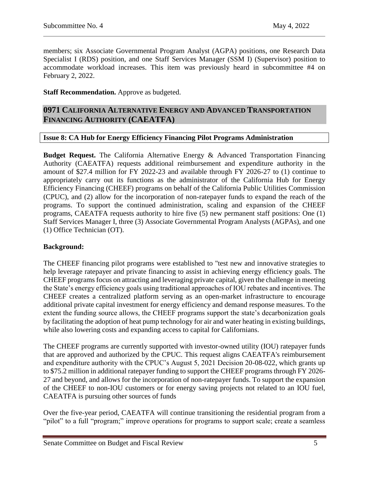members; six Associate Governmental Program Analyst (AGPA) positions, one Research Data Specialist I (RDS) position, and one Staff Services Manager (SSM I) (Supervisor) position to accommodate workload increases. This item was previously heard in subcommittee #4 on February 2, 2022.

## **Staff Recommendation.** Approve as budgeted.

## <span id="page-4-0"></span>**0971 CALIFORNIA ALTERNATIVE ENERGY AND ADVANCED TRANSPORTATION FINANCING AUTHORITY (CAEATFA)**

## <span id="page-4-1"></span>**Issue 8: CA Hub for Energy Efficiency Financing Pilot Programs Administration**

**Budget Request.** The California Alternative Energy & Advanced Transportation Financing Authority (CAEATFA) requests additional reimbursement and expenditure authority in the amount of \$27.4 million for FY 2022-23 and available through FY 2026-27 to (1) continue to appropriately carry out its functions as the administrator of the California Hub for Energy Efficiency Financing (CHEEF) programs on behalf of the California Public Utilities Commission (CPUC), and (2) allow for the incorporation of non-ratepayer funds to expand the reach of the programs. To support the continued administration, scaling and expansion of the CHEEF programs, CAEATFA requests authority to hire five (5) new permanent staff positions: One (1) Staff Services Manager I, three (3) Associate Governmental Program Analysts (AGPAs), and one (1) Office Technician (OT).

#### **Background:**

The CHEEF financing pilot programs were established to "test new and innovative strategies to help leverage ratepayer and private financing to assist in achieving energy efficiency goals. The CHEEF programs focus on attracting and leveraging private capital, given the challenge in meeting the State's energy efficiency goals using traditional approaches of IOU rebates and incentives. The CHEEF creates a centralized platform serving as an open-market infrastructure to encourage additional private capital investment for energy efficiency and demand response measures. To the extent the funding source allows, the CHEEF programs support the state's decarbonization goals by facilitating the adoption of heat pump technology for air and water heating in existing buildings, while also lowering costs and expanding access to capital for Californians.

The CHEEF programs are currently supported with investor-owned utility (IOU) ratepayer funds that are approved and authorized by the CPUC. This request aligns CAEATFA's reimbursement and expenditure authority with the CPUC's August 5, 2021 Decision 20-08-022, which grants up to \$75.2 million in additional ratepayer funding to support the CHEEF programs through FY 2026- 27 and beyond, and allows for the incorporation of non-ratepayer funds. To support the expansion of the CHEEF to non-IOU customers or for energy saving projects not related to an IOU fuel, CAEATFA is pursuing other sources of funds

Over the five-year period, CAEATFA will continue transitioning the residential program from a "pilot" to a full "program;" improve operations for programs to support scale; create a seamless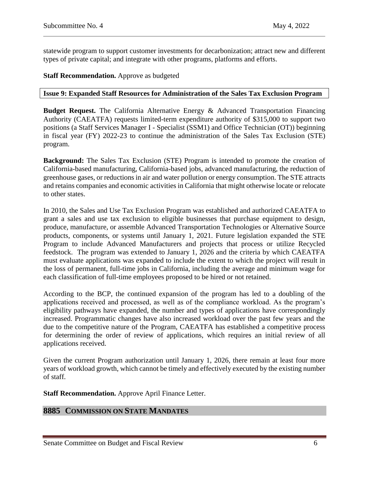statewide program to support customer investments for decarbonization; attract new and different types of private capital; and integrate with other programs, platforms and efforts.

**Staff Recommendation.** Approve as budgeted

#### <span id="page-5-0"></span>**Issue 9: Expanded Staff Resources for Administration of the Sales Tax Exclusion Program**

**Budget Request.** The California Alternative Energy & Advanced Transportation Financing Authority (CAEATFA) requests limited-term expenditure authority of \$315,000 to support two positions (a Staff Services Manager I - Specialist (SSM1) and Office Technician (OT)) beginning in fiscal year (FY) 2022-23 to continue the administration of the Sales Tax Exclusion (STE) program.

**Background:** The Sales Tax Exclusion (STE) Program is intended to promote the creation of California-based manufacturing, California-based jobs, advanced manufacturing, the reduction of greenhouse gases, or reductions in air and water pollution or energy consumption. The STE attracts and retains companies and economic activities in California that might otherwise locate or relocate to other states.

In 2010, the Sales and Use Tax Exclusion Program was established and authorized CAEATFA to grant a sales and use tax exclusion to eligible businesses that purchase equipment to design, produce, manufacture, or assemble Advanced Transportation Technologies or Alternative Source products, components, or systems until January 1, 2021. Future legislation expanded the STE Program to include Advanced Manufacturers and projects that process or utilize Recycled feedstock. The program was extended to January 1, 2026 and the criteria by which CAEATFA must evaluate applications was expanded to include the extent to which the project will result in the loss of permanent, full-time jobs in California, including the average and minimum wage for each classification of full-time employees proposed to be hired or not retained.

According to the BCP, the continued expansion of the program has led to a doubling of the applications received and processed, as well as of the compliance workload. As the program's eligibility pathways have expanded, the number and types of applications have correspondingly increased. Programmatic changes have also increased workload over the past few years and the due to the competitive nature of the Program, CAEATFA has established a competitive process for determining the order of review of applications, which requires an initial review of all applications received.

Given the current Program authorization until January 1, 2026, there remain at least four more years of workload growth, which cannot be timely and effectively executed by the existing number of staff.

**Staff Recommendation.** Approve April Finance Letter.

## <span id="page-5-1"></span>**8885 COMMISSION ON STATE MANDATES**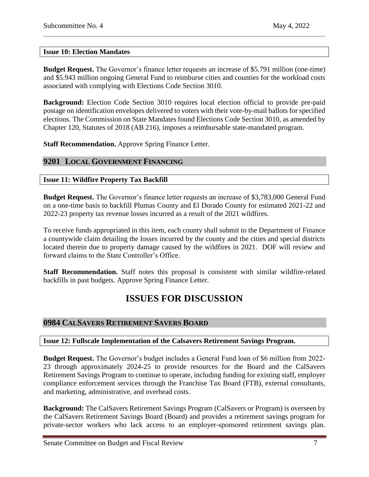## <span id="page-6-0"></span>**Issue 10: Election Mandates**

**Budget Request.** The Governor's finance letter requests an increase of \$5.791 million (one-time) and \$5.943 million ongoing General Fund to reimburse cities and counties for the workload costs associated with complying with Elections Code Section 3010.

**Background:** Election Code Section 3010 requires local election official to provide pre-paid postage on identification envelopes delivered to voters with their vote-by-mail ballots for specified elections. The Commission on State Mandates found Elections Code Section 3010, as amended by Chapter 120, Statutes of 2018 (AB 216), imposes a reimbursable state-mandated program.

**Staff Recommendation.** Approve Spring Finance Letter.

## <span id="page-6-1"></span>**9201 LOCAL GOVERNMENT FINANCING**

## <span id="page-6-2"></span>**Issue 11: Wildfire Property Tax Backfill**

**Budget Request.** The Governor's finance letter requests an increase of \$3,783,000 General Fund on a one-time basis to backfill Plumas County and El Dorado County for estimated 2021-22 and 2022-23 property tax revenue losses incurred as a result of the 2021 wildfires.

To receive funds appropriated in this item, each county shall submit to the Department of Finance a countywide claim detailing the losses incurred by the county and the cities and special districts located therein due to property damage caused by the wildfires in 2021. DOF will review and forward claims to the State Controller's Office.

**Staff Recommendation.** Staff notes this proposal is consistent with similar wildfire-related backfills in past budgets. Approve Spring Finance Letter.

## **ISSUES FOR DISCUSSION**

## <span id="page-6-3"></span>**0984 CALSAVERS RETIREMENT SAVERS BOARD**

#### <span id="page-6-4"></span>**Issue 12: Fullscale Implementation of the Calsavers Retirement Savings Program.**

**Budget Request.** The Governor's budget includes a General Fund loan of \$6 million from 2022- 23 through approximately 2024-25 to provide resources for the Board and the CalSavers Retirement Savings Program to continue to operate, including funding for existing staff, employer compliance enforcement services through the Franchise Tax Board (FTB), external consultants, and marketing, administrative, and overhead costs.

**Background:** The CalSavers Retirement Savings Program (CalSavers or Program) is overseen by the CalSavers Retirement Savings Board (Board) and provides a retirement savings program for private-sector workers who lack access to an employer-sponsored retirement savings plan.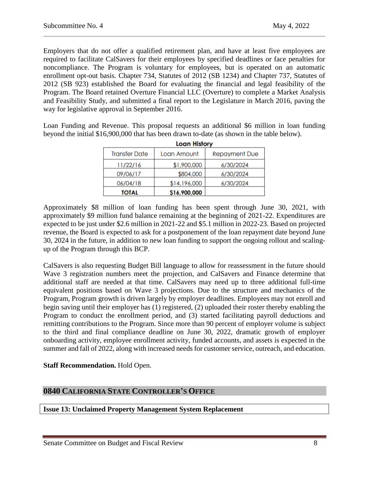Employers that do not offer a qualified retirement plan, and have at least five employees are required to facilitate CalSavers for their employees by specified deadlines or face penalties for noncompliance. The Program is voluntary for employees, but is operated on an automatic enrollment opt-out basis. Chapter 734, Statutes of 2012 (SB 1234) and Chapter 737, Statutes of 2012 (SB 923) established the Board for evaluating the financial and legal feasibility of the Program. The Board retained Overture Financial LLC (Overture) to complete a Market Analysis and Feasibility Study, and submitted a final report to the Legislature in March 2016, paving the way for legislative approval in September 2016.

Loan Funding and Revenue. This proposal requests an additional \$6 million in loan funding beyond the initial \$16,900,000 that has been drawn to-date (as shown in the table below).

| <b>Loan History</b>  |              |                      |  |  |  |
|----------------------|--------------|----------------------|--|--|--|
| <b>Transfer Date</b> | Loan Amount  | <b>Repayment Due</b> |  |  |  |
| 11/22/16             | \$1,900,000  | 6/30/2024            |  |  |  |
| 09/06/17             | \$804,000    | 6/30/2024            |  |  |  |
| 06/04/18             | \$14,196,000 | 6/30/2024            |  |  |  |
| TOTAL                | \$16,900,000 |                      |  |  |  |

Approximately \$8 million of loan funding has been spent through June 30, 2021, with approximately \$9 million fund balance remaining at the beginning of 2021-22. Expenditures are expected to be just under \$2.6 million in 2021-22 and \$5.1 million in 2022-23. Based on projected revenue, the Board is expected to ask for a postponement of the loan repayment date beyond June 30, 2024 in the future, in addition to new loan funding to support the ongoing rollout and scalingup of the Program through this BCP.

CalSavers is also requesting Budget Bill language to allow for reassessment in the future should Wave 3 registration numbers meet the projection, and CalSavers and Finance determine that additional staff are needed at that time. CalSavers may need up to three additional full-time equivalent positions based on Wave 3 projections. Due to the structure and mechanics of the Program, Program growth is driven largely by employer deadlines. Employees may not enroll and begin saving until their employer has (1) registered, (2) uploaded their roster thereby enabling the Program to conduct the enrollment period, and (3) started facilitating payroll deductions and remitting contributions to the Program. Since more than 90 percent of employer volume is subject to the third and final compliance deadline on June 30, 2022, dramatic growth of employer onboarding activity, employee enrollment activity, funded accounts, and assets is expected in the summer and fall of 2022, along with increased needs for customer service, outreach, and education.

#### **Staff Recommendation.** Hold Open.

## <span id="page-7-0"></span>**0840 CALIFORNIA STATE CONTROLLER'S OFFICE**

## <span id="page-7-1"></span>**Issue 13: Unclaimed Property Management System Replacement**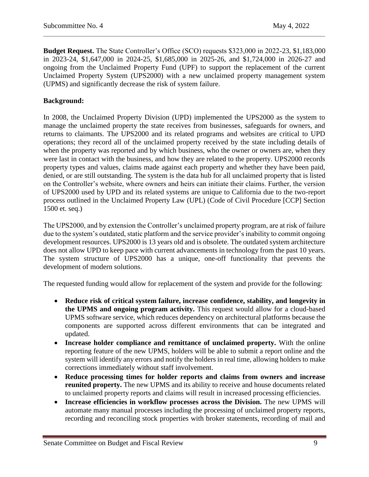**Budget Request.** The State Controller's Office (SCO) requests \$323,000 in 2022-23, \$1,183,000 in 2023-24, \$1,647,000 in 2024-25, \$1,685,000 in 2025-26, and \$1,724,000 in 2026-27 and ongoing from the Unclaimed Property Fund (UPF) to support the replacement of the current Unclaimed Property System (UPS2000) with a new unclaimed property management system (UPMS) and significantly decrease the risk of system failure.

## **Background:**

In 2008, the Unclaimed Property Division (UPD) implemented the UPS2000 as the system to manage the unclaimed property the state receives from businesses, safeguards for owners, and returns to claimants. The UPS2000 and its related programs and websites are critical to UPD operations; they record all of the unclaimed property received by the state including details of when the property was reported and by which business, who the owner or owners are, when they were last in contact with the business, and how they are related to the property. UPS2000 records property types and values, claims made against each property and whether they have been paid, denied, or are still outstanding. The system is the data hub for all unclaimed property that is listed on the Controller's website, where owners and heirs can initiate their claims. Further, the version of UPS2000 used by UPD and its related systems are unique to California due to the two-report process outlined in the Unclaimed Property Law (UPL) (Code of Civil Procedure [CCP] Section 1500 et. seq.)

The UPS2000, and by extension the Controller's unclaimed property program, are at risk of failure due to the system's outdated, static platform and the service provider's inability to commit ongoing development resources. UPS2000 is 13 years old and is obsolete. The outdated system architecture does not allow UPD to keep pace with current advancements in technology from the past 10 years. The system structure of UPS2000 has a unique, one-off functionality that prevents the development of modern solutions.

The requested funding would allow for replacement of the system and provide for the following:

- **Reduce risk of critical system failure, increase confidence, stability, and longevity in the UPMS and ongoing program activity.** This request would allow for a cloud-based UPMS software service, which reduces dependency on architectural platforms because the components are supported across different environments that can be integrated and updated.
- **Increase holder compliance and remittance of unclaimed property.** With the online reporting feature of the new UPMS, holders will be able to submit a report online and the system will identify any errors and notify the holders in real time, allowing holders to make corrections immediately without staff involvement.
- **Reduce processing times for holder reports and claims from owners and increase reunited property.** The new UPMS and its ability to receive and house documents related to unclaimed property reports and claims will result in increased processing efficiencies.
- **Increase efficiencies in workflow processes across the Division.** The new UPMS will automate many manual processes including the processing of unclaimed property reports, recording and reconciling stock properties with broker statements, recording of mail and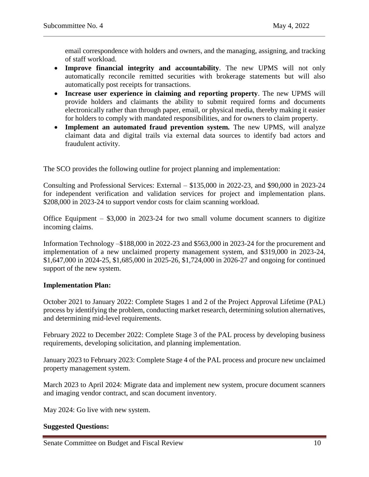email correspondence with holders and owners, and the managing, assigning, and tracking of staff workload.

- **Improve financial integrity and accountability**. The new UPMS will not only automatically reconcile remitted securities with brokerage statements but will also automatically post receipts for transactions.
- **Increase user experience in claiming and reporting property**. The new UPMS will provide holders and claimants the ability to submit required forms and documents electronically rather than through paper, email, or physical media, thereby making it easier for holders to comply with mandated responsibilities, and for owners to claim property.
- **Implement an automated fraud prevention system.** The new UPMS, will analyze claimant data and digital trails via external data sources to identify bad actors and fraudulent activity.

The SCO provides the following outline for project planning and implementation:

Consulting and Professional Services: External – \$135,000 in 2022-23, and \$90,000 in 2023-24 for independent verification and validation services for project and implementation plans. \$208,000 in 2023-24 to support vendor costs for claim scanning workload.

Office Equipment  $-$  \$3,000 in 2023-24 for two small volume document scanners to digitize incoming claims.

Information Technology –\$188,000 in 2022-23 and \$563,000 in 2023-24 for the procurement and implementation of a new unclaimed property management system, and \$319,000 in 2023-24, \$1,647,000 in 2024-25, \$1,685,000 in 2025-26, \$1,724,000 in 2026-27 and ongoing for continued support of the new system.

## **Implementation Plan:**

October 2021 to January 2022: Complete Stages 1 and 2 of the Project Approval Lifetime (PAL) process by identifying the problem, conducting market research, determining solution alternatives, and determining mid-level requirements.

February 2022 to December 2022: Complete Stage 3 of the PAL process by developing business requirements, developing solicitation, and planning implementation.

January 2023 to February 2023: Complete Stage 4 of the PAL process and procure new unclaimed property management system.

March 2023 to April 2024: Migrate data and implement new system, procure document scanners and imaging vendor contract, and scan document inventory.

May 2024: Go live with new system.

## **Suggested Questions:**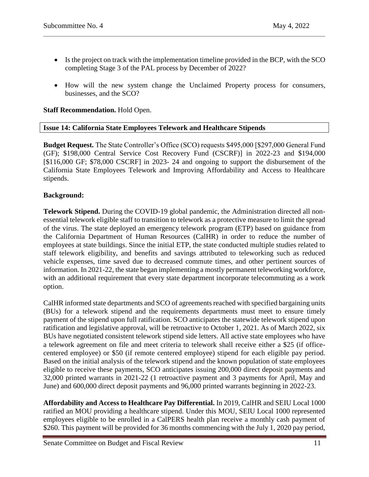- Is the project on track with the implementation timeline provided in the BCP, with the SCO completing Stage 3 of the PAL process by December of 2022?
- How will the new system change the Unclaimed Property process for consumers, businesses, and the SCO?

**Staff Recommendation.** Hold Open.

## <span id="page-10-0"></span>**Issue 14: California State Employees Telework and Healthcare Stipends**

**Budget Request.** The State Controller's Office (SCO) requests \$495,000 [\$297,000 General Fund (GF); \$198,000 Central Service Cost Recovery Fund (CSCRF)] in 2022-23 and \$194,000 [\$116,000 GF; \$78,000 CSCRF] in 2023- 24 and ongoing to support the disbursement of the California State Employees Telework and Improving Affordability and Access to Healthcare stipends.

## **Background:**

**Telework Stipend.** During the COVID-19 global pandemic, the Administration directed all nonessential telework eligible staff to transition to telework as a protective measure to limit the spread of the virus. The state deployed an emergency telework program (ETP) based on guidance from the California Department of Human Resources (CalHR) in order to reduce the number of employees at state buildings. Since the initial ETP, the state conducted multiple studies related to staff telework eligibility, and benefits and savings attributed to teleworking such as reduced vehicle expenses, time saved due to decreased commute times, and other pertinent sources of information. In 2021-22, the state began implementing a mostly permanent teleworking workforce, with an additional requirement that every state department incorporate telecommuting as a work option.

CalHR informed state departments and SCO of agreements reached with specified bargaining units (BUs) for a telework stipend and the requirements departments must meet to ensure timely payment of the stipend upon full ratification. SCO anticipates the statewide telework stipend upon ratification and legislative approval, will be retroactive to October 1, 2021. As of March 2022, six BUs have negotiated consistent telework stipend side letters. All active state employees who have a telework agreement on file and meet criteria to telework shall receive either a \$25 (if officecentered employee) or \$50 (if remote centered employee) stipend for each eligible pay period. Based on the initial analysis of the telework stipend and the known population of state employees eligible to receive these payments, SCO anticipates issuing 200,000 direct deposit payments and 32,000 printed warrants in 2021-22 (1 retroactive payment and 3 payments for April, May and June) and 600,000 direct deposit payments and 96,000 printed warrants beginning in 2022-23.

**Affordability and Access to Healthcare Pay Differential.** In 2019, CalHR and SEIU Local 1000 ratified an MOU providing a healthcare stipend. Under this MOU, SEIU Local 1000 represented employees eligible to be enrolled in a CalPERS health plan receive a monthly cash payment of \$260. This payment will be provided for 36 months commencing with the July 1, 2020 pay period,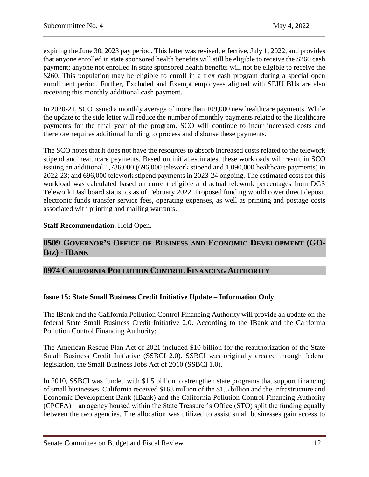expiring the June 30, 2023 pay period. This letter was revised, effective, July 1, 2022, and provides that anyone enrolled in state sponsored health benefits will still be eligible to receive the \$260 cash payment; anyone not enrolled in state sponsored health benefits will not be eligible to receive the \$260. This population may be eligible to enroll in a flex cash program during a special open enrollment period. Further, Excluded and Exempt employees aligned with SEIU BUs are also receiving this monthly additional cash payment.

In 2020-21, SCO issued a monthly average of more than 109,000 new healthcare payments. While the update to the side letter will reduce the number of monthly payments related to the Healthcare payments for the final year of the program, SCO will continue to incur increased costs and therefore requires additional funding to process and disburse these payments.

The SCO notes that it does not have the resources to absorb increased costs related to the telework stipend and healthcare payments. Based on initial estimates, these workloads will result in SCO issuing an additional 1,786,000 (696,000 telework stipend and 1,090,000 healthcare payments) in 2022-23; and 696,000 telework stipend payments in 2023-24 ongoing. The estimated costs for this workload was calculated based on current eligible and actual telework percentages from DGS Telework Dashboard statistics as of February 2022. Proposed funding would cover direct deposit electronic funds transfer service fees, operating expenses, as well as printing and postage costs associated with printing and mailing warrants.

## **Staff Recommendation.** Hold Open.

## <span id="page-11-0"></span>**0509 GOVERNOR'S OFFICE OF BUSINESS AND ECONOMIC DEVELOPMENT (GO-BIZ) - IBANK**

## <span id="page-11-1"></span>**0974 CALIFORNIA POLLUTION CONTROL FINANCING AUTHORITY**

## <span id="page-11-2"></span>**Issue 15: State Small Business Credit Initiative Update – Information Only**

The IBank and the California Pollution Control Financing Authority will provide an update on the federal State Small Business Credit Initiative 2.0. According to the IBank and the California Pollution Control Financing Authority:

The American Rescue Plan Act of 2021 included \$10 billion for the reauthorization of the State Small Business Credit Initiative (SSBCI 2.0). SSBCI was originally created through federal legislation, the Small Business Jobs Act of 2010 (SSBCI 1.0).

In 2010, SSBCI was funded with \$1.5 billion to strengthen state programs that support financing of small businesses. California received \$168 million of the \$1.5 billion and the Infrastructure and Economic Development Bank (IBank) and the California Pollution Control Financing Authority (CPCFA) – an agency housed within the State Treasurer's Office (STO) split the funding equally between the two agencies. The allocation was utilized to assist small businesses gain access to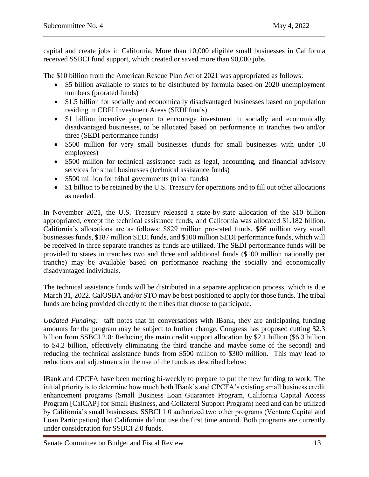capital and create jobs in California. More than 10,000 eligible small businesses in California received SSBCI fund support, which created or saved more than 90,000 jobs.

The \$10 billion from the American Rescue Plan Act of 2021 was appropriated as follows:

- \$5 billion available to states to be distributed by formula based on 2020 unemployment numbers (prorated funds)
- \$1.5 billion for socially and economically disadvantaged businesses based on population residing in CDFI Investment Areas (SEDI funds)
- \$1 billion incentive program to encourage investment in socially and economically disadvantaged businesses, to be allocated based on performance in tranches two and/or three (SEDI performance funds)
- \$500 million for very small businesses (funds for small businesses with under 10 employees)
- \$500 million for technical assistance such as legal, accounting, and financial advisory services for small businesses (technical assistance funds)
- \$500 million for tribal governments (tribal funds)
- \$1 billion to be retained by the U.S. Treasury for operations and to fill out other allocations as needed.

In November 2021, the U.S. Treasury released a state-by-state allocation of the \$10 billion appropriated, except the technical assistance funds, and California was allocated \$1.182 billion. California's allocations are as follows: \$829 million pro-rated funds, \$66 million very small businesses funds, \$187 million SEDI funds, and \$100 million SEDI performance funds, which will be received in three separate tranches as funds are utilized. The SEDI performance funds will be provided to states in tranches two and three and additional funds (\$100 million nationally per tranche) may be available based on performance reaching the socially and economically disadvantaged individuals.

The technical assistance funds will be distributed in a separate application process, which is due March 31, 2022. CalOSBA and/or STO may be best positioned to apply for those funds. The tribal funds are being provided directly to the tribes that choose to participate.

*Updated Funding:* taff notes that in conversations with IBank, they are anticipating funding amounts for the program may be subject to further change. Congress has proposed cutting \$2.3 billion from SSBCI 2.0: Reducing the main credit support allocation by \$2.1 billion (\$6.3 billion to \$4.2 billion, effectively eliminating the third tranche and maybe some of the second) and reducing the technical assistance funds from \$500 million to \$300 million. This may lead to reductions and adjustments in the use of the funds as described below:

IBank and CPCFA have been meeting bi-weekly to prepare to put the new funding to work. The initial priority is to determine how much both IBank's and CPCFA's existing small business credit enhancement programs (Small Business Loan Guarantee Program, California Capital Access Program [CalCAP] for Small Business, and Collateral Support Program) need and can be utilized by California's small businesses. SSBCI 1.0 authorized two other programs (Venture Capital and Loan Participation) that California did not use the first time around. Both programs are currently under consideration for SSBCI 2.0 funds.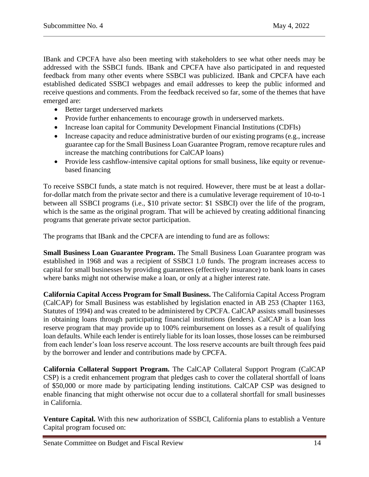IBank and CPCFA have also been meeting with stakeholders to see what other needs may be addressed with the SSBCI funds. IBank and CPCFA have also participated in and requested feedback from many other events where SSBCI was publicized. IBank and CPCFA have each established dedicated SSBCI webpages and email addresses to keep the public informed and receive questions and comments. From the feedback received so far, some of the themes that have emerged are:

- Better target underserved markets
- Provide further enhancements to encourage growth in underserved markets.
- Increase loan capital for Community Development Financial Institutions (CDFIs)
- Increase capacity and reduce administrative burden of our existing programs (e.g., increase guarantee cap for the Small Business Loan Guarantee Program, remove recapture rules and increase the matching contributions for CalCAP loans)
- Provide less cashflow-intensive capital options for small business, like equity or revenuebased financing

To receive SSBCI funds, a state match is not required. However, there must be at least a dollarfor-dollar match from the private sector and there is a cumulative leverage requirement of 10-to-1 between all SSBCI programs (i.e., \$10 private sector: \$1 SSBCI) over the life of the program, which is the same as the original program. That will be achieved by creating additional financing programs that generate private sector participation.

The programs that IBank and the CPCFA are intending to fund are as follows:

**Small Business Loan Guarantee Program.** The Small Business Loan Guarantee program was established in 1968 and was a recipient of SSBCI 1.0 funds. The program increases access to capital for small businesses by providing guarantees (effectively insurance) to bank loans in cases where banks might not otherwise make a loan, or only at a higher interest rate.

**California Capital Access Program for Small Business.** The California Capital Access Program (CalCAP) for Small Business was established by legislation enacted in AB 253 (Chapter 1163, Statutes of 1994) and was created to be administered by CPCFA. CalCAP assists small businesses in obtaining loans through participating financial institutions (lenders). CalCAP is a loan loss reserve program that may provide up to 100% reimbursement on losses as a result of qualifying loan defaults. While each lender is entirely liable for its loan losses, those losses can be reimbursed from each lender's loan loss reserve account. The loss reserve accounts are built through fees paid by the borrower and lender and contributions made by CPCFA.

**California Collateral Support Program.** The CalCAP Collateral Support Program (CalCAP CSP) is a credit enhancement program that pledges cash to cover the collateral shortfall of loans of \$50,000 or more made by participating lending institutions. CalCAP CSP was designed to enable financing that might otherwise not occur due to a collateral shortfall for small businesses in California.

**Venture Capital.** With this new authorization of SSBCI, California plans to establish a Venture Capital program focused on: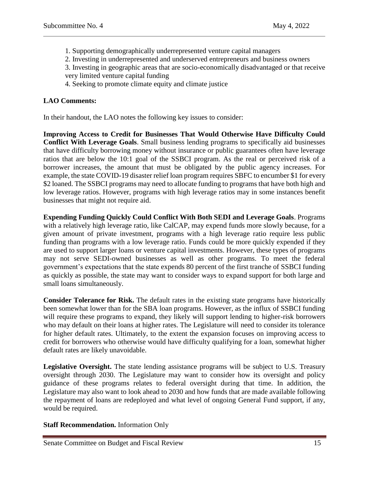- 1. Supporting demographically underrepresented venture capital managers
- 2. Investing in underrepresented and underserved entrepreneurs and business owners
- 3. Investing in geographic areas that are socio-economically disadvantaged or that receive very limited venture capital funding
- 4. Seeking to promote climate equity and climate justice

## **LAO Comments:**

In their handout, the LAO notes the following key issues to consider:

**Improving Access to Credit for Businesses That Would Otherwise Have Difficulty Could Conflict With Leverage Goals**. Small business lending programs to specifically aid businesses that have difficulty borrowing money without insurance or public guarantees often have leverage ratios that are below the 10:1 goal of the SSBCI program. As the real or perceived risk of a borrower increases, the amount that must be obligated by the public agency increases. For example, the state COVID-19 disaster relief loan program requires SBFC to encumber \$1 for every \$2 loaned. The SSBCI programs may need to allocate funding to programs that have both high and low leverage ratios. However, programs with high leverage ratios may in some instances benefit businesses that might not require aid.

**Expending Funding Quickly Could Conflict With Both SEDI and Leverage Goals**. Programs with a relatively high leverage ratio, like CalCAP, may expend funds more slowly because, for a given amount of private investment, programs with a high leverage ratio require less public funding than programs with a low leverage ratio. Funds could be more quickly expended if they are used to support larger loans or venture capital investments. However, these types of programs may not serve SEDI-owned businesses as well as other programs. To meet the federal government's expectations that the state expends 80 percent of the first tranche of SSBCI funding as quickly as possible, the state may want to consider ways to expand support for both large and small loans simultaneously.

**Consider Tolerance for Risk.** The default rates in the existing state programs have historically been somewhat lower than for the SBA loan programs. However, as the influx of SSBCI funding will require these programs to expand, they likely will support lending to higher-risk borrowers who may default on their loans at higher rates. The Legislature will need to consider its tolerance for higher default rates. Ultimately, to the extent the expansion focuses on improving access to credit for borrowers who otherwise would have difficulty qualifying for a loan, somewhat higher default rates are likely unavoidable.

**Legislative Oversight.** The state lending assistance programs will be subject to U.S. Treasury oversight through 2030. The Legislature may want to consider how its oversight and policy guidance of these programs relates to federal oversight during that time. In addition, the Legislature may also want to look ahead to 2030 and how funds that are made available following the repayment of loans are redeployed and what level of ongoing General Fund support, if any, would be required.

## **Staff Recommendation.** Information Only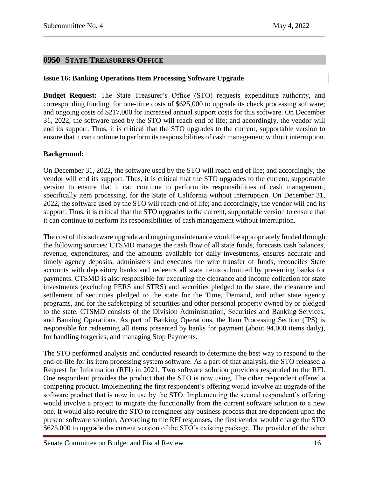## <span id="page-15-0"></span>**0950 STATE TREASURERS OFFICE**

## <span id="page-15-1"></span>**Issue 16: Banking Operations Item Processing Software Upgrade**

**Budget Request:** The State Treasurer's Office (STO) requests expenditure authority, and corresponding funding, for one-time costs of \$625,000 to upgrade its check processing software; and ongoing costs of \$217,000 for increased annual support costs for this software. On December 31, 2022, the software used by the STO will reach end of life; and accordingly, the vendor will end its support. Thus, it is critical that the STO upgrades to the current, supportable version to ensure that it can continue to perform its responsibilities of cash management without interruption.

## **Background:**

On December 31, 2022, the software used by the STO will reach end of life; and accordingly, the vendor will end its support. Thus, it is critical that the STO upgrades to the current, supportable version to ensure that it can continue to perform its responsibilities of cash management, specifically item processing, for the State of California without interruption. On December 31, 2022, the software used by the STO will reach end of life; and accordingly, the vendor will end its support. Thus, it is critical that the STO upgrades to the current, supportable version to ensure that it can continue to perform its responsibilities of cash management without interruption.

The cost of this software upgrade and ongoing maintenance would be appropriately funded through the following sources: CTSMD manages the cash flow of all state funds, forecasts cash balances, revenue, expenditures, and the amounts available for daily investments, ensures accurate and timely agency deposits, administers and executes the wire transfer of funds, reconciles State accounts with depository banks and redeems all state items submitted by presenting banks for payments. CTSMD is also responsible for executing the clearance and income collection for state investments (excluding PERS and STRS) and securities pledged to the state, the clearance and settlement of securities pledged to the state for the Time, Demand, and other state agency programs, and for the safekeeping of securities and other personal property owned by or pledged to the state. CTSMD consists of the Division Administration, Securities and Banking Services, and Banking Operations. As part of Banking Operations, the Item Processing Section (IPS) is responsible for redeeming all items presented by banks for payment (about 94,000 items daily), for handling forgeries, and managing Stop Payments.

The STO performed analysis and conducted research to determine the best way to respond to the end-of-life for its item processing system software. As a part of that analysis, the STO released a Request for Information (RFI) in 2021. Two software solution providers responded to the RFI. One respondent provides the product that the STO is now using. The other respondent offered a competing product. Implementing the first respondent's offering would involve an upgrade of the software product that is now in use by the STO. Implementing the second respondent's offering would involve a project to migrate the functionally from the current software solution to a new one. It would also require the STO to reengineer any business process that are dependent upon the present software solution. According to the RFI responses, the first vendor would charge the STO \$625,000 to upgrade the current version of the STO's existing package. The provider of the other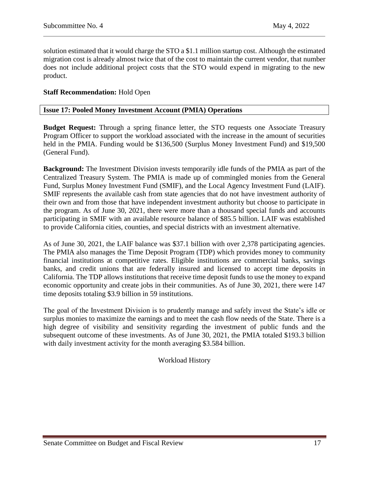solution estimated that it would charge the STO a \$1.1 million startup cost. Although the estimated migration cost is already almost twice that of the cost to maintain the current vendor, that number does not include additional project costs that the STO would expend in migrating to the new product.

## **Staff Recommendation:** Hold Open

#### <span id="page-16-0"></span>**Issue 17: Pooled Money Investment Account (PMIA) Operations**

**Budget Request:** Through a spring finance letter, the STO requests one Associate Treasury Program Officer to support the workload associated with the increase in the amount of securities held in the PMIA. Funding would be \$136,500 (Surplus Money Investment Fund) and \$19,500 (General Fund).

**Background:** The Investment Division invests temporarily idle funds of the PMIA as part of the Centralized Treasury System. The PMIA is made up of commingled monies from the General Fund, Surplus Money Investment Fund (SMIF), and the Local Agency Investment Fund (LAIF). SMIF represents the available cash from state agencies that do not have investment authority of their own and from those that have independent investment authority but choose to participate in the program. As of June 30, 2021, there were more than a thousand special funds and accounts participating in SMIF with an available resource balance of \$85.5 billion. LAIF was established to provide California cities, counties, and special districts with an investment alternative.

As of June 30, 2021, the LAIF balance was \$37.1 billion with over 2,378 participating agencies. The PMIA also manages the Time Deposit Program (TDP) which provides money to community financial institutions at competitive rates. Eligible institutions are commercial banks, savings banks, and credit unions that are federally insured and licensed to accept time deposits in California. The TDP allows institutions that receive time deposit funds to use the money to expand economic opportunity and create jobs in their communities. As of June 30, 2021, there were 147 time deposits totaling \$3.9 billion in 59 institutions.

The goal of the Investment Division is to prudently manage and safely invest the State's idle or surplus monies to maximize the earnings and to meet the cash flow needs of the State. There is a high degree of visibility and sensitivity regarding the investment of public funds and the subsequent outcome of these investments. As of June 30, 2021, the PMIA totaled \$193.3 billion with daily investment activity for the month averaging \$3.584 billion.

Workload History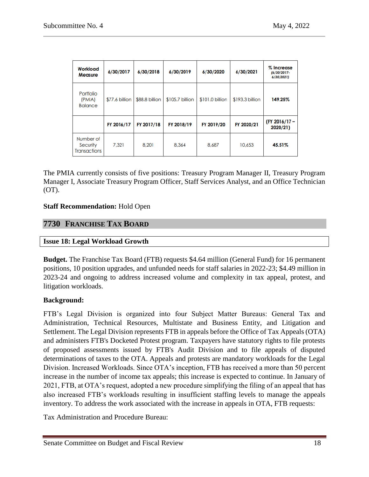| Workload<br><b>Measure</b>                   | 6/30/2017      | 6/30/2018      | 6/30/2019       | 6/30/2020       | 6/30/2021       | % Increase<br>$(6/30/2017 -$<br>6/30/2021) |
|----------------------------------------------|----------------|----------------|-----------------|-----------------|-----------------|--------------------------------------------|
| Portfolio<br>(PMIA)<br><b>Balance</b>        | \$77.6 billion | \$88.8 billion | \$105.7 billion | \$101.0 billion | \$193.3 billion | 149.25%                                    |
|                                              | FY 2016/17     | FY 2017/18     | FY 2018/19      | FY 2019/20      | FY 2020/21      | (FY 2016/17 -<br>2020/21)                  |
| Number of<br>Security<br><b>Transactions</b> | 7,321          | 8,201          | 8,364           | 8,687           | 10,653          | 45.51%                                     |

The PMIA currently consists of five positions: Treasury Program Manager II, Treasury Program Manager I, Associate Treasury Program Officer, Staff Services Analyst, and an Office Technician (OT).

## **Staff Recommendation:** Hold Open

## <span id="page-17-0"></span>**7730 FRANCHISE TAX BOARD**

## <span id="page-17-1"></span>**Issue 18: Legal Workload Growth**

**Budget.** The Franchise Tax Board (FTB) requests \$4.64 million (General Fund) for 16 permanent positions, 10 position upgrades, and unfunded needs for staff salaries in 2022-23; \$4.49 million in 2023-24 and ongoing to address increased volume and complexity in tax appeal, protest, and litigation workloads.

## **Background:**

FTB's Legal Division is organized into four Subject Matter Bureaus: General Tax and Administration, Technical Resources, Multistate and Business Entity, and Litigation and Settlement. The Legal Division represents FTB in appeals before the Office of Tax Appeals (OTA) and administers FTB's Docketed Protest program. Taxpayers have statutory rights to file protests of proposed assessments issued by FTB's Audit Division and to file appeals of disputed determinations of taxes to the OTA. Appeals and protests are mandatory workloads for the Legal Division. Increased Workloads. Since OTA's inception, FTB has received a more than 50 percent increase in the number of income tax appeals; this increase is expected to continue. In January of 2021, FTB, at OTA's request, adopted a new procedure simplifying the filing of an appeal that has also increased FTB's workloads resulting in insufficient staffing levels to manage the appeals inventory. To address the work associated with the increase in appeals in OTA, FTB requests:

Tax Administration and Procedure Bureau: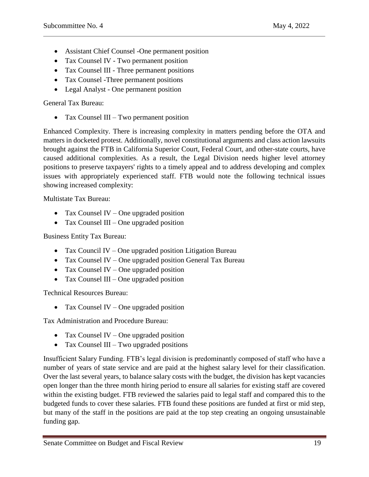- Assistant Chief Counsel -One permanent position
- Tax Counsel IV Two permanent position
- Tax Counsel III Three permanent positions
- Tax Counsel -Three permanent positions
- Legal Analyst One permanent position

General Tax Bureau:

• Tax Counsel III – Two permanent position

Enhanced Complexity. There is increasing complexity in matters pending before the OTA and matters in docketed protest. Additionally, novel constitutional arguments and class action lawsuits brought against the FTB in California Superior Court, Federal Court, and other-state courts, have caused additional complexities. As a result, the Legal Division needs higher level attorney positions to preserve taxpayers' rights to a timely appeal and to address developing and complex issues with appropriately experienced staff. FTB would note the following technical issues showing increased complexity:

Multistate Tax Bureau:

- Tax Counsel IV One upgraded position
- $\bullet$  Tax Counsel III One upgraded position

Business Entity Tax Bureau:

- Tax Council IV One upgraded position Litigation Bureau
- Tax Counsel IV One upgraded position General Tax Bureau
- Tax Counsel IV One upgraded position
- $\bullet$  Tax Counsel III One upgraded position

Technical Resources Bureau:

• Tax Counsel IV – One upgraded position

Tax Administration and Procedure Bureau:

- Tax Counsel IV One upgraded position
- Tax Counsel III Two upgraded positions

Insufficient Salary Funding. FTB's legal division is predominantly composed of staff who have a number of years of state service and are paid at the highest salary level for their classification. Over the last several years, to balance salary costs with the budget, the division has kept vacancies open longer than the three month hiring period to ensure all salaries for existing staff are covered within the existing budget. FTB reviewed the salaries paid to legal staff and compared this to the budgeted funds to cover these salaries. FTB found these positions are funded at first or mid step, but many of the staff in the positions are paid at the top step creating an ongoing unsustainable funding gap.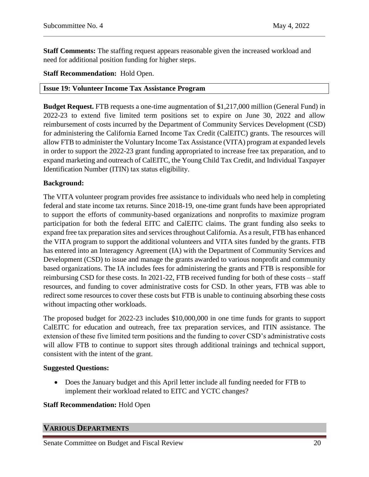**Staff Comments:** The staffing request appears reasonable given the increased workload and need for additional position funding for higher steps.

## **Staff Recommendation:** Hold Open.

#### <span id="page-19-0"></span>**Issue 19: Volunteer Income Tax Assistance Program**

**Budget Request.** FTB requests a one-time augmentation of \$1,217,000 million (General Fund) in 2022-23 to extend five limited term positions set to expire on June 30, 2022 and allow reimbursement of costs incurred by the Department of Community Services Development (CSD) for administering the California Earned Income Tax Credit (CalEITC) grants. The resources will allow FTB to administer the Voluntary Income Tax Assistance (VITA) program at expanded levels in order to support the 2022-23 grant funding appropriated to increase free tax preparation, and to expand marketing and outreach of CalEITC, the Young Child Tax Credit, and Individual Taxpayer Identification Number (ITIN) tax status eligibility.

## **Background:**

The VITA volunteer program provides free assistance to individuals who need help in completing federal and state income tax returns. Since 2018-19, one-time grant funds have been appropriated to support the efforts of community-based organizations and nonprofits to maximize program participation for both the federal EITC and CalEITC claims. The grant funding also seeks to expand free tax preparation sites and services throughout California. As a result, FTB has enhanced the VITA program to support the additional volunteers and VITA sites funded by the grants. FTB has entered into an Interagency Agreement (IA) with the Department of Community Services and Development (CSD) to issue and manage the grants awarded to various nonprofit and community based organizations. The IA includes fees for administering the grants and FTB is responsible for reimbursing CSD for these costs. In 2021-22, FTB received funding for both of these costs – staff resources, and funding to cover administrative costs for CSD. In other years, FTB was able to redirect some resources to cover these costs but FTB is unable to continuing absorbing these costs without impacting other workloads.

The proposed budget for 2022-23 includes \$10,000,000 in one time funds for grants to support CalEITC for education and outreach, free tax preparation services, and ITIN assistance. The extension of these five limited term positions and the funding to cover CSD's administrative costs will allow FTB to continue to support sites through additional trainings and technical support, consistent with the intent of the grant.

#### **Suggested Questions:**

 Does the January budget and this April letter include all funding needed for FTB to implement their workload related to EITC and YCTC changes?

#### **Staff Recommendation:** Hold Open

## <span id="page-19-1"></span>**VARIOUS DEPARTMENTS**

Senate Committee on Budget and Fiscal Review 20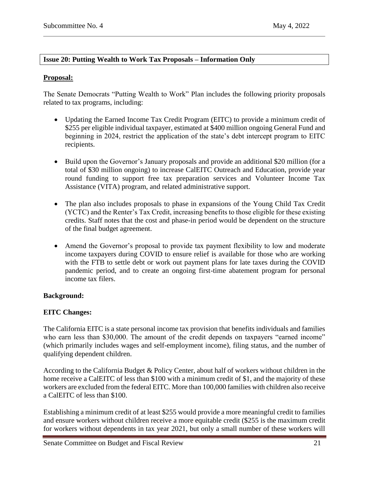## <span id="page-20-0"></span>**Issue 20: Putting Wealth to Work Tax Proposals – Information Only**

## **Proposal:**

The Senate Democrats "Putting Wealth to Work" Plan includes the following priority proposals related to tax programs, including:

- Updating the Earned Income Tax Credit Program (EITC) to provide a minimum credit of \$255 per eligible individual taxpayer, estimated at \$400 million ongoing General Fund and beginning in 2024, restrict the application of the state's debt intercept program to EITC recipients.
- Build upon the Governor's January proposals and provide an additional \$20 million (for a total of \$30 million ongoing) to increase CalEITC Outreach and Education, provide year round funding to support free tax preparation services and Volunteer Income Tax Assistance (VITA) program, and related administrative support.
- The plan also includes proposals to phase in expansions of the Young Child Tax Credit (YCTC) and the Renter's Tax Credit, increasing benefits to those eligible for these existing credits. Staff notes that the cost and phase-in period would be dependent on the structure of the final budget agreement.
- Amend the Governor's proposal to provide tax payment flexibility to low and moderate income taxpayers during COVID to ensure relief is available for those who are working with the FTB to settle debt or work out payment plans for late taxes during the COVID pandemic period, and to create an ongoing first-time abatement program for personal income tax filers.

## **Background:**

## **EITC Changes:**

The California EITC is a state personal income tax provision that benefits individuals and families who earn less than \$30,000. The amount of the credit depends on taxpayers "earned income" (which primarily includes wages and self-employment income), filing status, and the number of qualifying dependent children.

According to the California Budget & Policy Center, about half of workers without children in the home receive a CalEITC of less than \$100 with a minimum credit of \$1, and the majority of these workers are excluded from the federal EITC. More than 100,000 families with children also receive a CalEITC of less than \$100.

Establishing a minimum credit of at least \$255 would provide a more meaningful credit to families and ensure workers without children receive a more equitable credit (\$255 is the maximum credit for workers without dependents in tax year 2021, but only a small number of these workers will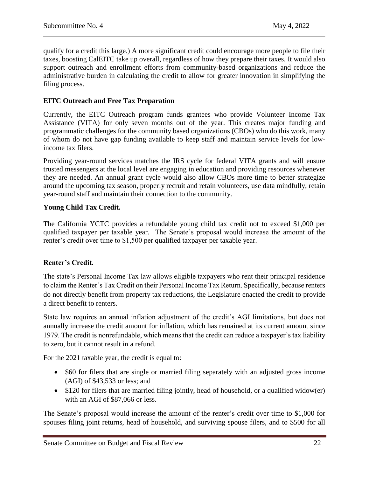qualify for a credit this large.) A more significant credit could encourage more people to file their taxes, boosting CalEITC take up overall, regardless of how they prepare their taxes. It would also support outreach and enrollment efforts from community-based organizations and reduce the administrative burden in calculating the credit to allow for greater innovation in simplifying the filing process.

## **EITC Outreach and Free Tax Preparation**

Currently, the EITC Outreach program funds grantees who provide Volunteer Income Tax Assistance (VITA) for only seven months out of the year. This creates major funding and programmatic challenges for the community based organizations (CBOs) who do this work, many of whom do not have gap funding available to keep staff and maintain service levels for lowincome tax filers.

Providing year-round services matches the IRS cycle for federal VITA grants and will ensure trusted messengers at the local level are engaging in education and providing resources whenever they are needed. An annual grant cycle would also allow CBOs more time to better strategize around the upcoming tax season, properly recruit and retain volunteers, use data mindfully, retain year-round staff and maintain their connection to the community.

## **Young Child Tax Credit.**

The California YCTC provides a refundable young child tax credit not to exceed \$1,000 per qualified taxpayer per taxable year. The Senate's proposal would increase the amount of the renter's credit over time to \$1,500 per qualified taxpayer per taxable year.

## **Renter's Credit.**

The state's Personal Income Tax law allows eligible taxpayers who rent their principal residence to claim the Renter's Tax Credit on their Personal Income Tax Return. Specifically, because renters do not directly benefit from property tax reductions, the Legislature enacted the credit to provide a direct benefit to renters.

State law requires an annual inflation adjustment of the credit's AGI limitations, but does not annually increase the credit amount for inflation, which has remained at its current amount since 1979. The credit is nonrefundable, which means that the credit can reduce a taxpayer's tax liability to zero, but it cannot result in a refund.

For the 2021 taxable year, the credit is equal to:

- \$60 for filers that are single or married filing separately with an adjusted gross income (AGI) of \$43,533 or less; and
- \$120 for filers that are married filing jointly, head of household, or a qualified widow(er) with an AGI of \$87,066 or less.

The Senate's proposal would increase the amount of the renter's credit over time to \$1,000 for spouses filing joint returns, head of household, and surviving spouse filers, and to \$500 for all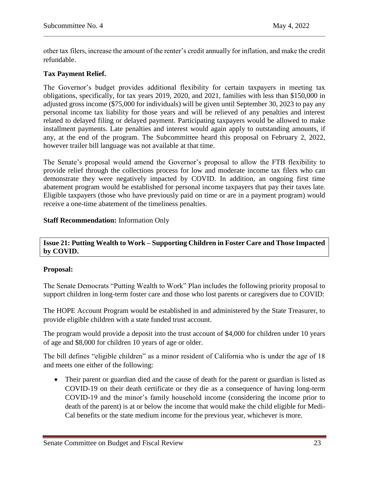other tax filers, increase the amount of the renter's credit annually for inflation, and make the credit refundable.

## **Tax Payment Relief.**

The Governor's budget provides additional flexibility for certain taxpayers in meeting tax obligations, specifically, for tax years 2019, 2020, and 2021, families with less than \$150,000 in adjusted gross income (\$75,000 for individuals) will be given until September 30, 2023 to pay any personal income tax liability for those years and will be relieved of any penalties and interest related to delayed filing or delayed payment. Participating taxpayers would be allowed to make installment payments. Late penalties and interest would again apply to outstanding amounts, if any, at the end of the program. The Subcommittee heard this proposal on February 2, 2022, however trailer bill language was not available at that time.

The Senate's proposal would amend the Governor's proposal to allow the FTB flexibility to provide relief through the collections process for low and moderate income tax filers who can demonstrate they were negatively impacted by COVID. In addition, an ongoing first time abatement program would be established for personal income taxpayers that pay their taxes late. Eligible taxpayers (those who have previously paid on time or are in a payment program) would receive a one-time abatement of the timeliness penalties.

## **Staff Recommendation:** Information Only

## <span id="page-22-0"></span>**Issue 21: Putting Wealth to Work – Supporting Children in Foster Care and Those Impacted by COVID.**

## **Proposal:**

The Senate Democrats "Putting Wealth to Work" Plan includes the following priority proposal to support children in long-term foster care and those who lost parents or caregivers due to COVID:

The HOPE Account Program would be established in and administered by the State Treasurer, to provide eligible children with a state funded trust account.

The program would provide a deposit into the trust account of \$4,000 for children under 10 years of age and \$8,000 for children 10 years of age or older.

The bill defines "eligible children" as a minor resident of California who is under the age of 18 and meets one either of the following:

• Their parent or guardian died and the cause of death for the parent or guardian is listed as COVID-19 on their death certificate or they die as a consequence of having long-term COVID-19 and the minor's family household income (considering the income prior to death of the parent) is at or below the income that would make the child eligible for Medi-Cal benefits or the state medium income for the previous year, whichever is more.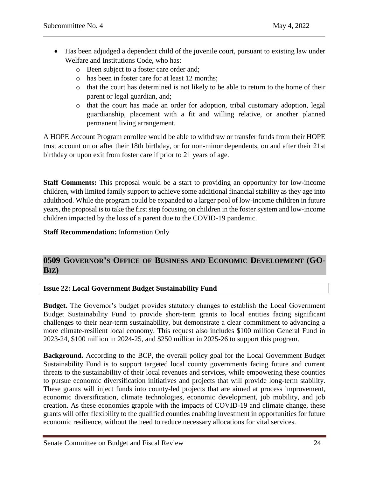- Has been adjudged a dependent child of the juvenile court, pursuant to existing law under Welfare and Institutions Code, who has:
	- o Been subject to a foster care order and;
	- o has been in foster care for at least 12 months;
	- o that the court has determined is not likely to be able to return to the home of their parent or legal guardian, and;
	- o that the court has made an order for adoption, tribal customary adoption, legal guardianship, placement with a fit and willing relative, or another planned permanent living arrangement.

A HOPE Account Program enrollee would be able to withdraw or transfer funds from their HOPE trust account on or after their 18th birthday, or for non-minor dependents, on and after their 21st birthday or upon exit from foster care if prior to 21 years of age.

**Staff Comments:** This proposal would be a start to providing an opportunity for low-income children, with limited family support to achieve some additional financial stability as they age into adulthood. While the program could be expanded to a larger pool of low-income children in future years, the proposal is to take the first step focusing on children in the foster system and low-income children impacted by the loss of a parent due to the COVID-19 pandemic.

## **Staff Recommendation:** Information Only

## <span id="page-23-0"></span>**0509 GOVERNOR'S OFFICE OF BUSINESS AND ECONOMIC DEVELOPMENT (GO-BIZ)**

## <span id="page-23-1"></span>**Issue 22: Local Government Budget Sustainability Fund**

**Budget.** The Governor's budget provides statutory changes to establish the Local Government Budget Sustainability Fund to provide short-term grants to local entities facing significant challenges to their near-term sustainability, but demonstrate a clear commitment to advancing a more climate-resilient local economy. This request also includes \$100 million General Fund in 2023-24, \$100 million in 2024-25, and \$250 million in 2025-26 to support this program.

**Background.** According to the BCP, the overall policy goal for the Local Government Budget Sustainability Fund is to support targeted local county governments facing future and current threats to the sustainability of their local revenues and services, while empowering these counties to pursue economic diversification initiatives and projects that will provide long-term stability. These grants will inject funds into county-led projects that are aimed at process improvement, economic diversification, climate technologies, economic development, job mobility, and job creation. As these economies grapple with the impacts of COVID-19 and climate change, these grants will offer flexibility to the qualified counties enabling investment in opportunities for future economic resilience, without the need to reduce necessary allocations for vital services.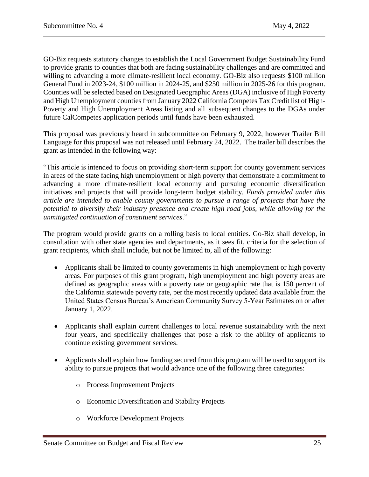GO-Biz requests statutory changes to establish the Local Government Budget Sustainability Fund to provide grants to counties that both are facing sustainability challenges and are committed and willing to advancing a more climate-resilient local economy. GO-Biz also requests \$100 million General Fund in 2023-24, \$100 million in 2024-25, and \$250 million in 2025-26 for this program. Counties will be selected based on Designated Geographic Areas (DGA) inclusive of High Poverty and High Unemployment counties from January 2022 California Competes Tax Credit list of High-Poverty and High Unemployment Areas listing and all subsequent changes to the DGAs under future CalCompetes application periods until funds have been exhausted.

This proposal was previously heard in subcommittee on February 9, 2022, however Trailer Bill Language for this proposal was not released until February 24, 2022. The trailer bill describes the grant as intended in the following way:

"This article is intended to focus on providing short-term support for county government services in areas of the state facing high unemployment or high poverty that demonstrate a commitment to advancing a more climate-resilient local economy and pursuing economic diversification initiatives and projects that will provide long-term budget stability. *Funds provided under this article are intended to enable county governments to pursue a range of projects that have the potential to diversify their industry presence and create high road jobs, while allowing for the unmitigated continuation of constituent services*."

The program would provide grants on a rolling basis to local entities. Go-Biz shall develop, in consultation with other state agencies and departments, as it sees fit, criteria for the selection of grant recipients, which shall include, but not be limited to, all of the following:

- Applicants shall be limited to county governments in high unemployment or high poverty areas. For purposes of this grant program, high unemployment and high poverty areas are defined as geographic areas with a poverty rate or geographic rate that is 150 percent of the California statewide poverty rate, per the most recently updated data available from the United States Census Bureau's American Community Survey 5-Year Estimates on or after January 1, 2022.
- Applicants shall explain current challenges to local revenue sustainability with the next four years, and specifically challenges that pose a risk to the ability of applicants to continue existing government services.
- Applicants shall explain how funding secured from this program will be used to support its ability to pursue projects that would advance one of the following three categories:
	- o Process Improvement Projects
	- o Economic Diversification and Stability Projects
	- o Workforce Development Projects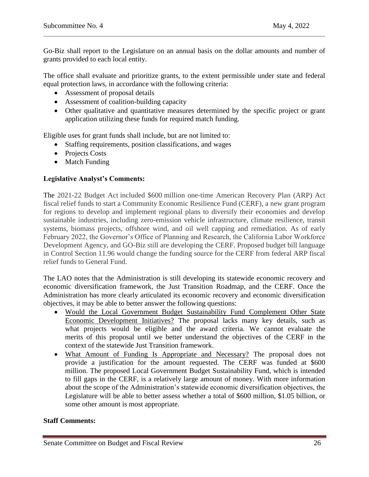Go-Biz shall report to the Legislature on an annual basis on the dollar amounts and number of grants provided to each local entity.

The office shall evaluate and prioritize grants, to the extent permissible under state and federal equal protection laws, in accordance with the following criteria:

- Assessment of proposal details
- Assessment of coalition-building capacity
- Other qualitative and quantitative measures determined by the specific project or grant application utilizing these funds for required match funding.

Eligible uses for grant funds shall include, but are not limited to:

- Staffing requirements, position classifications, and wages
- Projects Costs
- Match Funding

## **Legislative Analyst's Comments:**

The 2021-22 Budget Act included \$600 million one-time American Recovery Plan (ARP) Act fiscal relief funds to start a Community Economic Resilience Fund (CERF), a new grant program for regions to develop and implement regional plans to diversify their economies and develop sustainable industries, including zero-emission vehicle infrastructure, climate resilience, transit systems, biomass projects, offshore wind, and oil well capping and remediation. As of early February 2022, the Governor's Office of Planning and Research, the California Labor Workforce Development Agency, and GO-Biz still are developing the CERF. Proposed budget bill language in Control Section 11.96 would change the funding source for the CERF from federal ARP fiscal relief funds to General Fund.

The LAO notes that the Administration is still developing its statewide economic recovery and economic diversification framework, the Just Transition Roadmap, and the CERF. Once the Administration has more clearly articulated its economic recovery and economic diversification objectives, it may be able to better answer the following questions:

- Would the Local Government Budget Sustainability Fund Complement Other State Economic Development Initiatives? The proposal lacks many key details, such as what projects would be eligible and the award criteria. We cannot evaluate the merits of this proposal until we better understand the objectives of the CERF in the context of the statewide Just Transition framework.
- What Amount of Funding Is Appropriate and Necessary? The proposal does not provide a justification for the amount requested. The CERF was funded at \$600 million. The proposed Local Government Budget Sustainability Fund, which is intended to fill gaps in the CERF, is a relatively large amount of money. With more information about the scope of the Administration's statewide economic diversification objectives, the Legislature will be able to better assess whether a total of \$600 million, \$1.05 billion, or some other amount is most appropriate.

## **Staff Comments:**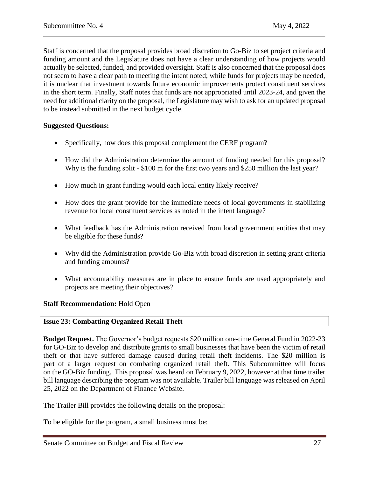Staff is concerned that the proposal provides broad discretion to Go-Biz to set project criteria and funding amount and the Legislature does not have a clear understanding of how projects would actually be selected, funded, and provided oversight. Staff is also concerned that the proposal does not seem to have a clear path to meeting the intent noted; while funds for projects may be needed, it is unclear that investment towards future economic improvements protect constituent services in the short term. Finally, Staff notes that funds are not appropriated until 2023-24, and given the need for additional clarity on the proposal, the Legislature may wish to ask for an updated proposal to be instead submitted in the next budget cycle.

## **Suggested Questions:**

- Specifically, how does this proposal complement the CERF program?
- How did the Administration determine the amount of funding needed for this proposal? Why is the funding split - \$100 m for the first two years and \$250 million the last year?
- How much in grant funding would each local entity likely receive?
- How does the grant provide for the immediate needs of local governments in stabilizing revenue for local constituent services as noted in the intent language?
- What feedback has the Administration received from local government entities that may be eligible for these funds?
- Why did the Administration provide Go-Biz with broad discretion in setting grant criteria and funding amounts?
- What accountability measures are in place to ensure funds are used appropriately and projects are meeting their objectives?

#### **Staff Recommendation:** Hold Open

## <span id="page-26-0"></span>**Issue 23: Combatting Organized Retail Theft**

**Budget Request.** The Governor's budget requests \$20 million one-time General Fund in 2022-23 for GO-Biz to develop and distribute grants to small businesses that have been the victim of retail theft or that have suffered damage caused during retail theft incidents. The \$20 million is part of a larger request on combating organized retail theft. This Subcommittee will focus on the GO-Biz funding. This proposal was heard on February 9, 2022, however at that time trailer bill language describing the program was not available. Trailer bill language was released on April 25, 2022 on the Department of Finance Website.

The Trailer Bill provides the following details on the proposal:

To be eligible for the program, a small business must be: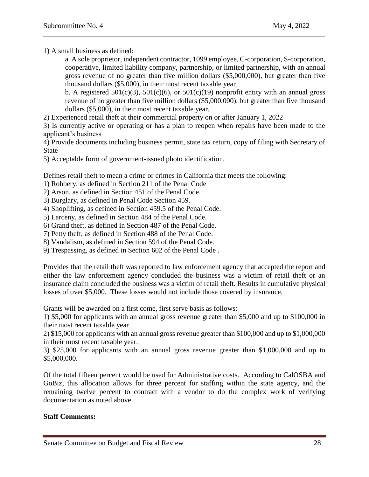1) A small business as defined:

a. A sole proprietor, independent contractor, 1099 employee, C-corporation, S-corporation, cooperative, limited liability company, partnership, or limited partnership, with an annual gross revenue of no greater than five million dollars (\$5,000,000), but greater than five thousand dollars (\$5,000), in their most recent taxable year

b. A registered  $501(c)(3)$ ,  $501(c)(6)$ , or  $501(c)(19)$  nonprofit entity with an annual gross revenue of no greater than five million dollars (\$5,000,000), but greater than five thousand dollars (\$5,000), in their most recent taxable year.

2) Experienced retail theft at their commercial property on or after January 1, 2022

3) Is currently active or operating or has a plan to reopen when repairs have been made to the applicant's business

4) Provide documents including business permit, state tax return, copy of filing with Secretary of State

5) Acceptable form of government-issued photo identification.

Defines retail theft to mean a crime or crimes in California that meets the following:

1) Robbery, as defined in Section 211 of the Penal Code

2) Arson, as defined in Section 451 of the Penal Code.

3) Burglary, as defined in Penal Code Section 459.

4) Shoplifting, as defined in Section 459.5 of the Penal Code.

5) Larceny, as defined in Section 484 of the Penal Code.

6) Grand theft, as defined in Section 487 of the Penal Code.

7) Petty theft, as defined in Section 488 of the Penal Code.

8) Vandalism, as defined in Section 594 of the Penal Code.

9) Trespassing, as defined in Section 602 of the Penal Code .

Provides that the retail theft was reported to law enforcement agency that accepted the report and either the law enforcement agency concluded the business was a victim of retail theft or an insurance claim concluded the business was a victim of retail theft. Results in cumulative physical losses of over \$5,000. These losses would not include those covered by insurance.

Grants will be awarded on a first come, first serve basis as follows:

1) \$5,000 for applicants with an annual gross revenue greater than \$5,000 and up to \$100,000 in their most recent taxable year

2) \$15,000 for applicants with an annual gross revenue greater than \$100,000 and up to \$1,000,000 in their most recent taxable year.

3) \$25,000 for applicants with an annual gross revenue greater than \$1,000,000 and up to \$5,000,000.

Of the total fifteen percent would be used for Administrative costs. According to CalOSBA and GoBiz, this allocation allows for three percent for staffing within the state agency, and the remaining twelve percent to contract with a vendor to do the complex work of verifying documentation as noted above.

#### **Staff Comments:**